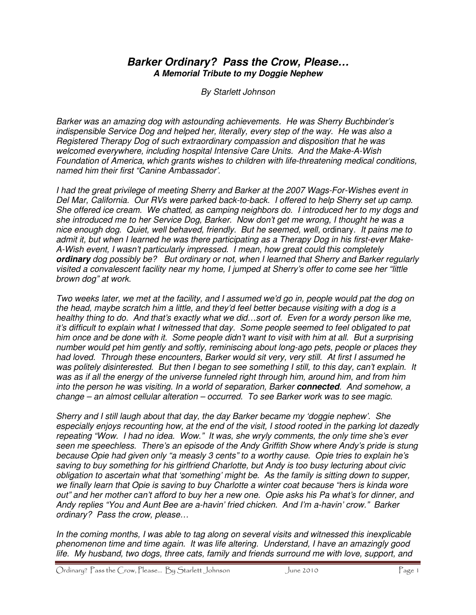## **Barker Ordinary? Pass the Crow, Please… A Memorial Tribute to my Doggie Nephew**

By Starlett Johnson

Barker was an amazing dog with astounding achievements. He was Sherry Buchbinder's indispensible Service Dog and helped her, literally, every step of the way. He was also a Registered Therapy Dog of such extraordinary compassion and disposition that he was welcomed everywhere, including hospital Intensive Care Units. And the Make-A-Wish Foundation of America, which grants wishes to children with life-threatening medical conditions, named him their first "Canine Ambassador'.

I had the great privilege of meeting Sherry and Barker at the 2007 Wags-For-Wishes event in Del Mar, California. Our RVs were parked back-to-back. I offered to help Sherry set up camp. She offered ice cream. We chatted, as camping neighbors do. I introduced her to my dogs and she introduced me to her Service Dog, Barker. Now don't get me wrong, I thought he was a nice enough dog. Quiet, well behaved, friendly. But he seemed, well, ordinary. It pains me to admit it, but when I learned he was there participating as a Therapy Dog in his first-ever Make-A-Wish event, I wasn't particularly impressed. I mean, how great could this completely **ordinary** dog possibly be? But ordinary or not, when I learned that Sherry and Barker regularly visited a convalescent facility near my home, I jumped at Sherry's offer to come see her "little brown dog" at work.

Two weeks later, we met at the facility, and I assumed we'd go in, people would pat the dog on the head, maybe scratch him a little, and they'd feel better because visiting with a dog is a healthy thing to do. And that's exactly what we did...sort of. Even for a wordy person like me, it's difficult to explain what I witnessed that day. Some people seemed to feel obligated to pat him once and be done with it. Some people didn't want to visit with him at all. But a surprising number would pet him gently and softly, reminiscing about long-ago pets, people or places they had loved. Through these encounters, Barker would sit very, very still. At first I assumed he was politely disinterested. But then I began to see something I still, to this day, can't explain. It was as if all the energy of the universe funneled right through him, around him, and from him into the person he was visiting. In a world of separation, Barker **connected**. And somehow, a change – an almost cellular alteration – occurred. To see Barker work was to see magic.

Sherry and I still laugh about that day, the day Barker became my 'doggie nephew'. She especially enjoys recounting how, at the end of the visit, I stood rooted in the parking lot dazedly repeating "Wow. I had no idea. Wow." It was, she wryly comments, the only time she's ever seen me speechless. There's an episode of the Andy Griffith Show where Andy's pride is stung because Opie had given only "a measly 3 cents" to a worthy cause. Opie tries to explain he's saving to buy something for his girlfriend Charlotte, but Andy is too busy lecturing about civic obligation to ascertain what that 'something' might be. As the family is sitting down to supper, we finally learn that Opie is saving to buy Charlotte a winter coat because "hers is kinda wore out" and her mother can't afford to buy her a new one. Opie asks his Pa what's for dinner, and Andy replies "You and Aunt Bee are a-havin' fried chicken. And I'm a-havin' crow." Barker ordinary? Pass the crow, please…

In the coming months, I was able to tag along on several visits and witnessed this inexplicable phenomenon time and time again. It was life altering. Understand, I have an amazingly good life. My husband, two dogs, three cats, family and friends surround me with love, support, and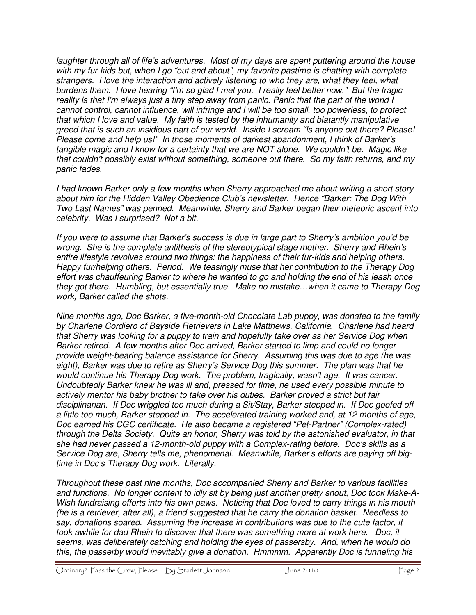laughter through all of life's adventures. Most of my days are spent puttering around the house with my fur-kids but, when I go "out and about", my favorite pastime is chatting with complete strangers. I love the interaction and actively listening to who they are, what they feel, what burdens them. I love hearing "I'm so glad I met you. I really feel better now." But the tragic reality is that I'm always just a tiny step away from panic. Panic that the part of the world I cannot control, cannot influence, will infringe and I will be too small, too powerless, to protect that which I love and value. My faith is tested by the inhumanity and blatantly manipulative greed that is such an insidious part of our world. Inside I scream "Is anyone out there? Please! Please come and help us!" In those moments of darkest abandonment, I think of Barker's tangible magic and I know for a certainty that we are NOT alone. We couldn't be. Magic like that couldn't possibly exist without something, someone out there. So my faith returns, and my panic fades.

I had known Barker only a few months when Sherry approached me about writing a short story about him for the Hidden Valley Obedience Club's newsletter. Hence "Barker: The Dog With Two Last Names" was penned. Meanwhile, Sherry and Barker began their meteoric ascent into celebrity. Was I surprised? Not a bit.

If you were to assume that Barker's success is due in large part to Sherry's ambition you'd be wrong. She is the complete antithesis of the stereotypical stage mother. Sherry and Rhein's entire lifestyle revolves around two things: the happiness of their fur-kids and helping others. Happy fur/helping others. Period. We teasingly muse that her contribution to the Therapy Dog effort was chauffeuring Barker to where he wanted to go and holding the end of his leash once they got there. Humbling, but essentially true. Make no mistake…when it came to Therapy Dog work, Barker called the shots.

Nine months ago, Doc Barker, a five-month-old Chocolate Lab puppy, was donated to the family by Charlene Cordiero of Bayside Retrievers in Lake Matthews, California. Charlene had heard that Sherry was looking for a puppy to train and hopefully take over as her Service Dog when Barker retired. A few months after Doc arrived, Barker started to limp and could no longer provide weight-bearing balance assistance for Sherry. Assuming this was due to age (he was eight), Barker was due to retire as Sherry's Service Dog this summer. The plan was that he would continue his Therapy Dog work. The problem, tragically, wasn't age. It was cancer. Undoubtedly Barker knew he was ill and, pressed for time, he used every possible minute to actively mentor his baby brother to take over his duties. Barker proved a strict but fair disciplinarian. If Doc wriggled too much during a Sit/Stay, Barker stepped in. If Doc goofed off a little too much, Barker stepped in. The accelerated training worked and, at 12 months of age, Doc earned his CGC certificate. He also became a registered "Pet-Partner" (Complex-rated) through the Delta Society. Quite an honor, Sherry was told by the astonished evaluator, in that she had never passed a 12-month-old puppy with a Complex-rating before. Doc's skills as a Service Dog are, Sherry tells me, phenomenal. Meanwhile, Barker's efforts are paying off bigtime in Doc's Therapy Dog work. Literally.

Throughout these past nine months, Doc accompanied Sherry and Barker to various facilities and functions. No longer content to idly sit by being just another pretty snout, Doc took Make-A-Wish fundraising efforts into his own paws. Noticing that Doc loved to carry things in his mouth (he is a retriever, after all), a friend suggested that he carry the donation basket. Needless to say, donations soared. Assuming the increase in contributions was due to the cute factor, it took awhile for dad Rhein to discover that there was something more at work here. Doc, it seems, was deliberately catching and holding the eyes of passersby. And, when he would do this, the passerby would inevitably give a donation. Hmmmm. Apparently Doc is funneling his